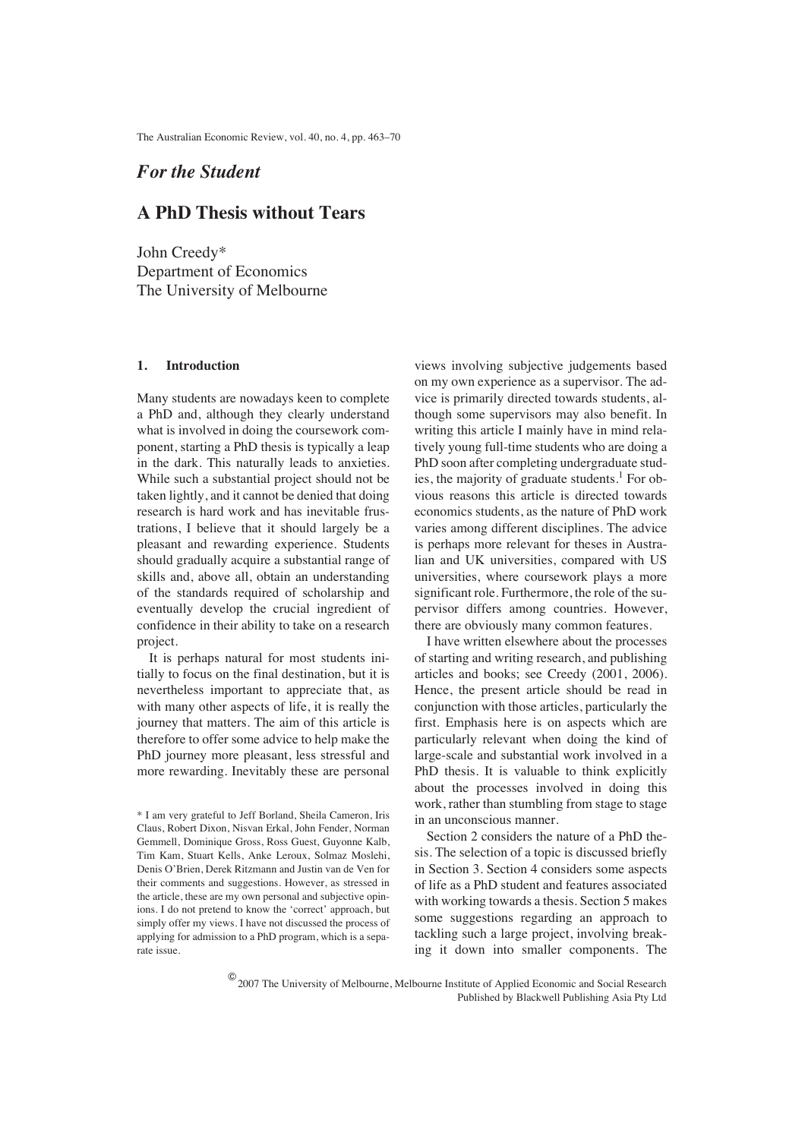# *For the Student*

# **A PhD Thesis without Tears**

John Creedy\* Department of Economics The University of Melbourne

# **1. Introduction**

Many students are nowadays keen to complete a PhD and, although they clearly understand what is involved in doing the coursework component, starting a PhD thesis is typically a leap in the dark. This naturally leads to anxieties. While such a substantial project should not be taken lightly, and it cannot be denied that doing research is hard work and has inevitable frustrations, I believe that it should largely be a pleasant and rewarding experience. Students should gradually acquire a substantial range of skills and, above all, obtain an understanding of the standards required of scholarship and eventually develop the crucial ingredient of confidence in their ability to take on a research project.

It is perhaps natural for most students initially to focus on the final destination, but it is nevertheless important to appreciate that, as with many other aspects of life, it is really the journey that matters. The aim of this article is therefore to offer some advice to help make the PhD journey more pleasant, less stressful and more rewarding. Inevitably these are personal

views involving subjective judgements based on my own experience as a supervisor. The advice is primarily directed towards students, although some supervisors may also benefit. In writing this article I mainly have in mind relatively young full-time students who are doing a PhD soon after completing undergraduate studies, the majority of graduate students.<sup>1</sup> For obvious reasons this article is directed towards economics students, as the nature of PhD work varies among different disciplines. The advice is perhaps more relevant for theses in Australian and UK universities, compared with US universities, where coursework plays a more significant role. Furthermore, the role of the supervisor differs among countries. However, there are obviously many common features.

I have written elsewhere about the processes of starting and writing research, and publishing articles and books; see Creedy (2001, 2006). Hence, the present article should be read in conjunction with those articles, particularly the first. Emphasis here is on aspects which are particularly relevant when doing the kind of large-scale and substantial work involved in a PhD thesis. It is valuable to think explicitly about the processes involved in doing this work, rather than stumbling from stage to stage in an unconscious manner.

Section 2 considers the nature of a PhD thesis. The selection of a topic is discussed briefly in Section 3. Section 4 considers some aspects of life as a PhD student and features associated with working towards a thesis. Section 5 makes some suggestions regarding an approach to tackling such a large project, involving breaking it down into smaller components. The

© 2007 The University of Melbourne, Melbourne Institute of Applied Economic and Social Research Published by Blackwell Publishing Asia Pty Ltd

<sup>\*</sup> I am very grateful to Jeff Borland, Sheila Cameron, Iris Claus, Robert Dixon, Nisvan Erkal, John Fender, Norman Gemmell, Dominique Gross, Ross Guest, Guyonne Kalb, Tim Kam, Stuart Kells, Anke Leroux, Solmaz Moslehi, Denis O'Brien, Derek Ritzmann and Justin van de Ven for their comments and suggestions. However, as stressed in the article, these are my own personal and subjective opinions. I do not pretend to know the 'correct' approach, but simply offer my views. I have not discussed the process of applying for admission to a PhD program, which is a separate issue.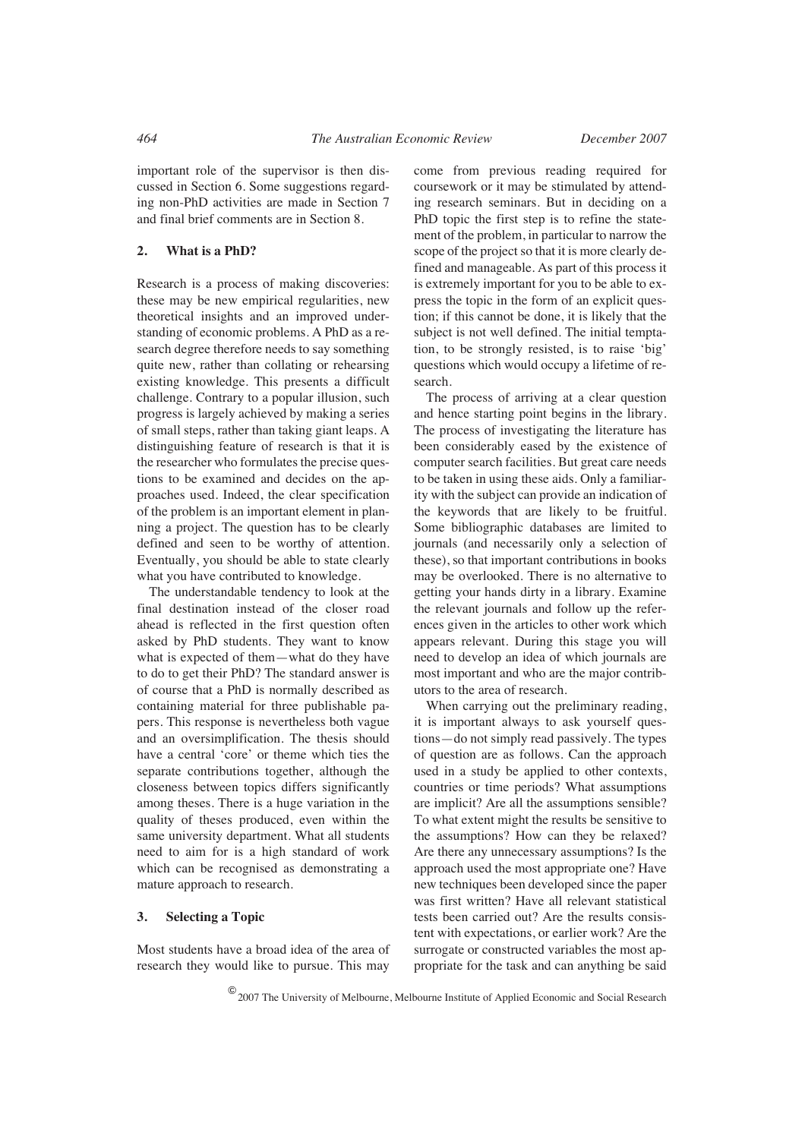important role of the supervisor is then discussed in Section 6. Some suggestions regarding non-PhD activities are made in Section 7 and final brief comments are in Section 8.

## **2. What is a PhD?**

Research is a process of making discoveries: these may be new empirical regularities, new theoretical insights and an improved understanding of economic problems. A PhD as a research degree therefore needs to say something quite new, rather than collating or rehearsing existing knowledge. This presents a difficult challenge. Contrary to a popular illusion, such progress is largely achieved by making a series of small steps, rather than taking giant leaps. A distinguishing feature of research is that it is the researcher who formulates the precise questions to be examined and decides on the approaches used. Indeed, the clear specification of the problem is an important element in planning a project. The question has to be clearly defined and seen to be worthy of attention. Eventually, you should be able to state clearly what you have contributed to knowledge.

The understandable tendency to look at the final destination instead of the closer road ahead is reflected in the first question often asked by PhD students. They want to know what is expected of them—what do they have to do to get their PhD? The standard answer is of course that a PhD is normally described as containing material for three publishable papers. This response is nevertheless both vague and an oversimplification. The thesis should have a central 'core' or theme which ties the separate contributions together, although the closeness between topics differs significantly among theses. There is a huge variation in the quality of theses produced, even within the same university department. What all students need to aim for is a high standard of work which can be recognised as demonstrating a mature approach to research.

# **3. Selecting a Topic**

Most students have a broad idea of the area of research they would like to pursue. This may

come from previous reading required for coursework or it may be stimulated by attending research seminars. But in deciding on a PhD topic the first step is to refine the statement of the problem, in particular to narrow the scope of the project so that it is more clearly defined and manageable. As part of this process it is extremely important for you to be able to express the topic in the form of an explicit question; if this cannot be done, it is likely that the subject is not well defined. The initial temptation, to be strongly resisted, is to raise 'big' questions which would occupy a lifetime of research.

The process of arriving at a clear question and hence starting point begins in the library. The process of investigating the literature has been considerably eased by the existence of computer search facilities. But great care needs to be taken in using these aids. Only a familiarity with the subject can provide an indication of the keywords that are likely to be fruitful. Some bibliographic databases are limited to journals (and necessarily only a selection of these), so that important contributions in books may be overlooked. There is no alternative to getting your hands dirty in a library. Examine the relevant journals and follow up the references given in the articles to other work which appears relevant. During this stage you will need to develop an idea of which journals are most important and who are the major contributors to the area of research.

When carrying out the preliminary reading, it is important always to ask yourself questions—do not simply read passively. The types of question are as follows. Can the approach used in a study be applied to other contexts, countries or time periods? What assumptions are implicit? Are all the assumptions sensible? To what extent might the results be sensitive to the assumptions? How can they be relaxed? Are there any unnecessary assumptions? Is the approach used the most appropriate one? Have new techniques been developed since the paper was first written? Have all relevant statistical tests been carried out? Are the results consistent with expectations, or earlier work? Are the surrogate or constructed variables the most appropriate for the task and can anything be said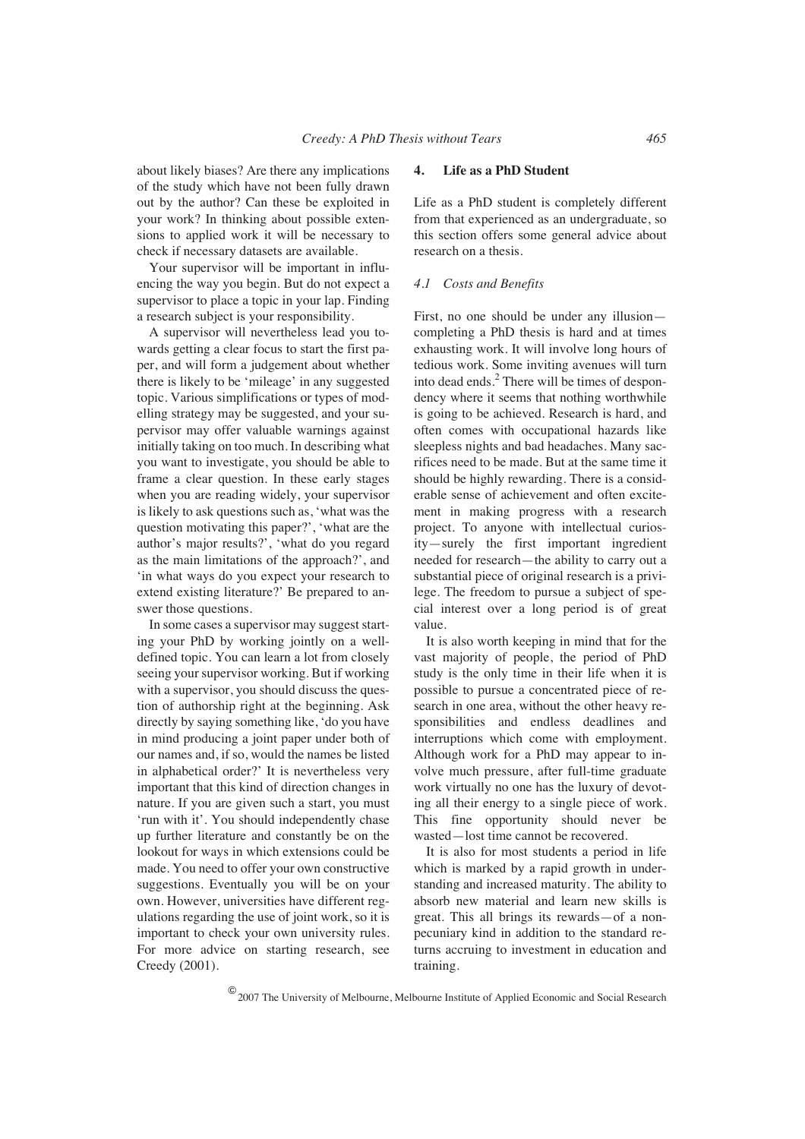about likely biases? Are there any implications of the study which have not been fully drawn out by the author? Can these be exploited in your work? In thinking about possible extensions to applied work it will be necessary to check if necessary datasets are available.

Your supervisor will be important in influencing the way you begin. But do not expect a supervisor to place a topic in your lap. Finding a research subject is your responsibility.

A supervisor will nevertheless lead you towards getting a clear focus to start the first paper, and will form a judgement about whether there is likely to be 'mileage' in any suggested topic. Various simplifications or types of modelling strategy may be suggested, and your supervisor may offer valuable warnings against initially taking on too much. In describing what you want to investigate, you should be able to frame a clear question. In these early stages when you are reading widely, your supervisor is likely to ask questions such as, 'what was the question motivating this paper?', 'what are the author's major results?', 'what do you regard as the main limitations of the approach?', and 'in what ways do you expect your research to extend existing literature?' Be prepared to answer those questions.

In some cases a supervisor may suggest starting your PhD by working jointly on a welldefined topic. You can learn a lot from closely seeing your supervisor working. But if working with a supervisor, you should discuss the question of authorship right at the beginning. Ask directly by saying something like, 'do you have in mind producing a joint paper under both of our names and, if so, would the names be listed in alphabetical order?' It is nevertheless very important that this kind of direction changes in nature. If you are given such a start, you must 'run with it'. You should independently chase up further literature and constantly be on the lookout for ways in which extensions could be made. You need to offer your own constructive suggestions. Eventually you will be on your own. However, universities have different regulations regarding the use of joint work, so it is important to check your own university rules. For more advice on starting research, see Creedy (2001).

## **4. Life as a PhD Student**

Life as a PhD student is completely different from that experienced as an undergraduate, so this section offers some general advice about research on a thesis.

#### *4.1 Costs and Benefits*

First, no one should be under any illusion completing a PhD thesis is hard and at times exhausting work. It will involve long hours of tedious work. Some inviting avenues will turn into dead ends. $<sup>2</sup>$  There will be times of despon-</sup> dency where it seems that nothing worthwhile is going to be achieved. Research is hard, and often comes with occupational hazards like sleepless nights and bad headaches. Many sacrifices need to be made. But at the same time it should be highly rewarding. There is a considerable sense of achievement and often excitement in making progress with a research project. To anyone with intellectual curiosity—surely the first important ingredient needed for research—the ability to carry out a substantial piece of original research is a privilege. The freedom to pursue a subject of special interest over a long period is of great value.

It is also worth keeping in mind that for the vast majority of people, the period of PhD study is the only time in their life when it is possible to pursue a concentrated piece of research in one area, without the other heavy responsibilities and endless deadlines and interruptions which come with employment. Although work for a PhD may appear to involve much pressure, after full-time graduate work virtually no one has the luxury of devoting all their energy to a single piece of work. This fine opportunity should never be wasted—lost time cannot be recovered.

It is also for most students a period in life which is marked by a rapid growth in understanding and increased maturity. The ability to absorb new material and learn new skills is great. This all brings its rewards—of a nonpecuniary kind in addition to the standard returns accruing to investment in education and training.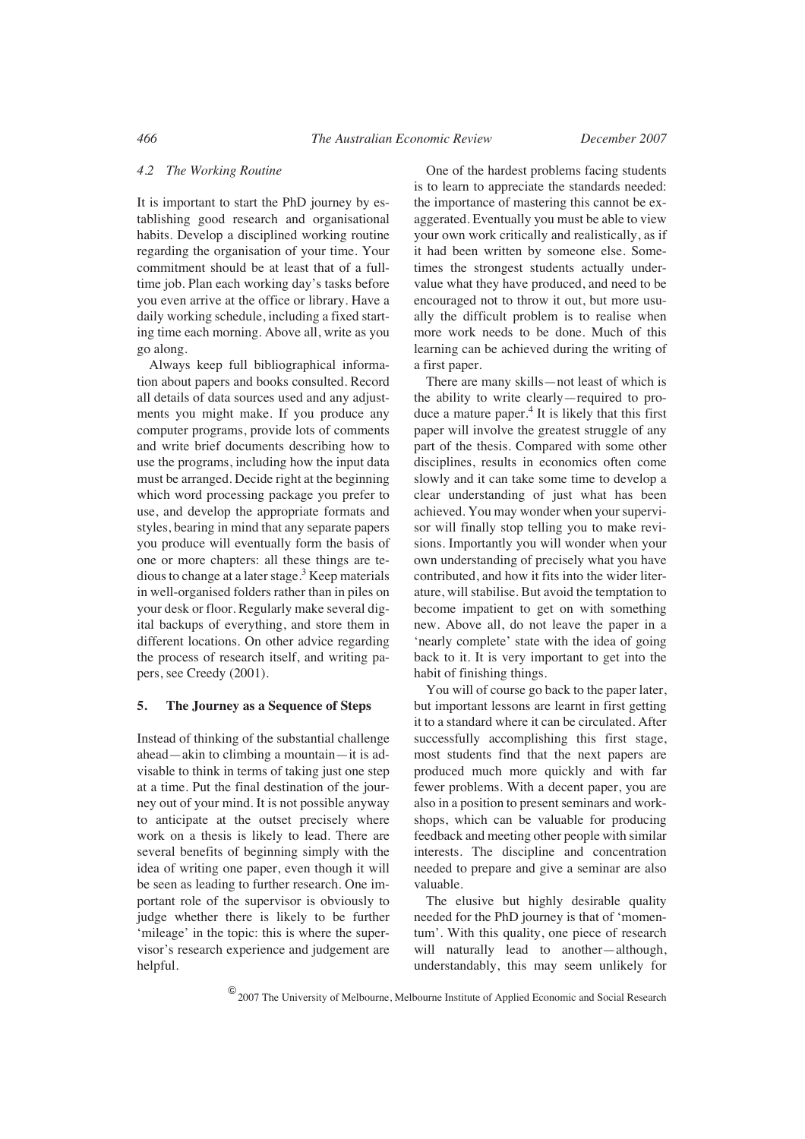### *4.2 The Working Routine*

It is important to start the PhD journey by establishing good research and organisational habits. Develop a disciplined working routine regarding the organisation of your time. Your commitment should be at least that of a fulltime job. Plan each working day's tasks before you even arrive at the office or library. Have a daily working schedule, including a fixed starting time each morning. Above all, write as you go along.

Always keep full bibliographical information about papers and books consulted. Record all details of data sources used and any adjustments you might make. If you produce any computer programs, provide lots of comments and write brief documents describing how to use the programs, including how the input data must be arranged. Decide right at the beginning which word processing package you prefer to use, and develop the appropriate formats and styles, bearing in mind that any separate papers you produce will eventually form the basis of one or more chapters: all these things are tedious to change at a later stage.<sup>3</sup> Keep materials in well-organised folders rather than in piles on your desk or floor. Regularly make several digital backups of everything, and store them in different locations. On other advice regarding the process of research itself, and writing papers, see Creedy (2001).

#### **5. The Journey as a Sequence of Steps**

Instead of thinking of the substantial challenge ahead—akin to climbing a mountain—it is advisable to think in terms of taking just one step at a time. Put the final destination of the journey out of your mind. It is not possible anyway to anticipate at the outset precisely where work on a thesis is likely to lead. There are several benefits of beginning simply with the idea of writing one paper, even though it will be seen as leading to further research. One important role of the supervisor is obviously to judge whether there is likely to be further 'mileage' in the topic: this is where the supervisor's research experience and judgement are helpful.

One of the hardest problems facing students is to learn to appreciate the standards needed: the importance of mastering this cannot be exaggerated. Eventually you must be able to view your own work critically and realistically, as if it had been written by someone else. Sometimes the strongest students actually undervalue what they have produced, and need to be encouraged not to throw it out, but more usually the difficult problem is to realise when more work needs to be done. Much of this learning can be achieved during the writing of a first paper.

There are many skills—not least of which is the ability to write clearly—required to produce a mature paper.<sup>4</sup> It is likely that this first paper will involve the greatest struggle of any part of the thesis. Compared with some other disciplines, results in economics often come slowly and it can take some time to develop a clear understanding of just what has been achieved. You may wonder when your supervisor will finally stop telling you to make revisions. Importantly you will wonder when your own understanding of precisely what you have contributed, and how it fits into the wider literature, will stabilise. But avoid the temptation to become impatient to get on with something new. Above all, do not leave the paper in a 'nearly complete' state with the idea of going back to it. It is very important to get into the habit of finishing things.

You will of course go back to the paper later, but important lessons are learnt in first getting it to a standard where it can be circulated. After successfully accomplishing this first stage, most students find that the next papers are produced much more quickly and with far fewer problems. With a decent paper, you are also in a position to present seminars and workshops, which can be valuable for producing feedback and meeting other people with similar interests. The discipline and concentration needed to prepare and give a seminar are also valuable.

The elusive but highly desirable quality needed for the PhD journey is that of 'momentum'. With this quality, one piece of research will naturally lead to another—although, understandably, this may seem unlikely for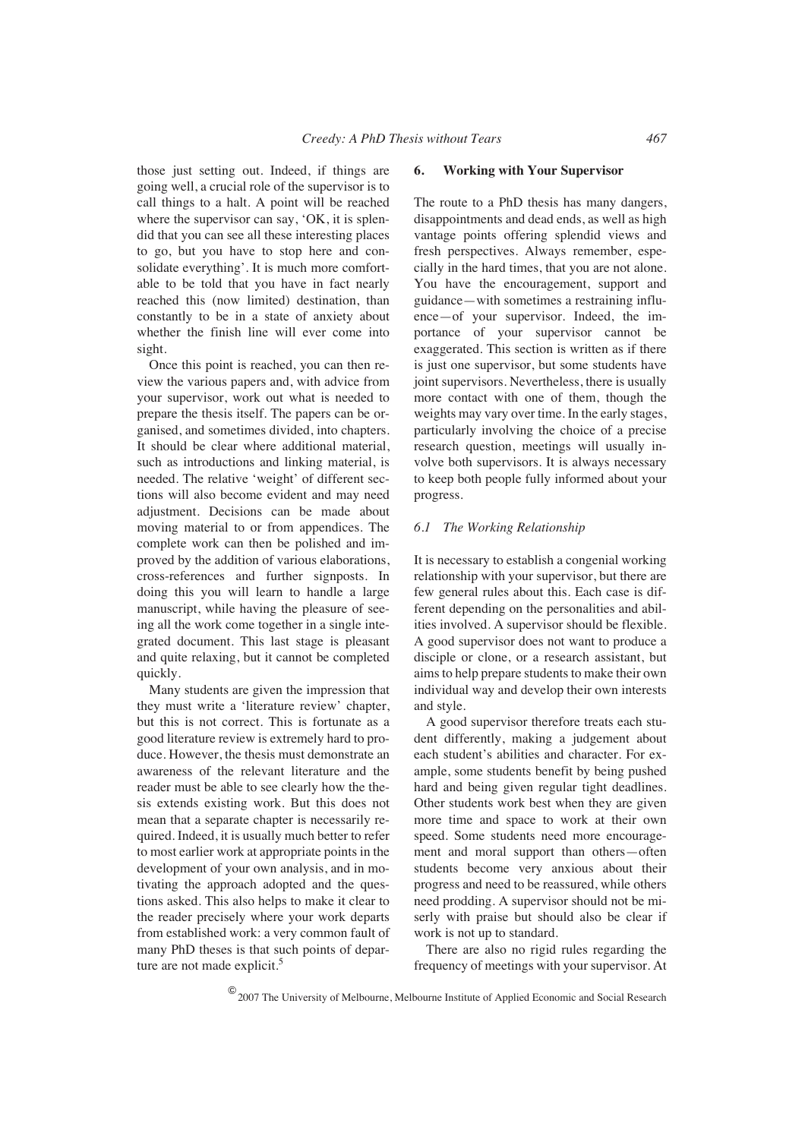those just setting out. Indeed, if things are going well, a crucial role of the supervisor is to call things to a halt. A point will be reached where the supervisor can say, 'OK, it is splendid that you can see all these interesting places to go, but you have to stop here and consolidate everything'. It is much more comfortable to be told that you have in fact nearly reached this (now limited) destination, than constantly to be in a state of anxiety about whether the finish line will ever come into sight.

Once this point is reached, you can then review the various papers and, with advice from your supervisor, work out what is needed to prepare the thesis itself. The papers can be organised, and sometimes divided, into chapters. It should be clear where additional material, such as introductions and linking material, is needed. The relative 'weight' of different sections will also become evident and may need adjustment. Decisions can be made about moving material to or from appendices. The complete work can then be polished and improved by the addition of various elaborations, cross-references and further signposts. In doing this you will learn to handle a large manuscript, while having the pleasure of seeing all the work come together in a single integrated document. This last stage is pleasant and quite relaxing, but it cannot be completed quickly.

Many students are given the impression that they must write a 'literature review' chapter, but this is not correct. This is fortunate as a good literature review is extremely hard to produce. However, the thesis must demonstrate an awareness of the relevant literature and the reader must be able to see clearly how the thesis extends existing work. But this does not mean that a separate chapter is necessarily required. Indeed, it is usually much better to refer to most earlier work at appropriate points in the development of your own analysis, and in motivating the approach adopted and the questions asked. This also helps to make it clear to the reader precisely where your work departs from established work: a very common fault of many PhD theses is that such points of departure are not made explicit.<sup>5</sup>

### **6. Working with Your Supervisor**

The route to a PhD thesis has many dangers, disappointments and dead ends, as well as high vantage points offering splendid views and fresh perspectives. Always remember, especially in the hard times, that you are not alone. You have the encouragement, support and guidance—with sometimes a restraining influence—of your supervisor. Indeed, the importance of your supervisor cannot be exaggerated. This section is written as if there is just one supervisor, but some students have joint supervisors. Nevertheless, there is usually more contact with one of them, though the weights may vary over time. In the early stages, particularly involving the choice of a precise research question, meetings will usually involve both supervisors. It is always necessary to keep both people fully informed about your progress.

#### *6.1 The Working Relationship*

It is necessary to establish a congenial working relationship with your supervisor, but there are few general rules about this. Each case is different depending on the personalities and abilities involved. A supervisor should be flexible. A good supervisor does not want to produce a disciple or clone, or a research assistant, but aims to help prepare students to make their own individual way and develop their own interests and style.

A good supervisor therefore treats each student differently, making a judgement about each student's abilities and character. For example, some students benefit by being pushed hard and being given regular tight deadlines. Other students work best when they are given more time and space to work at their own speed. Some students need more encouragement and moral support than others—often students become very anxious about their progress and need to be reassured, while others need prodding. A supervisor should not be miserly with praise but should also be clear if work is not up to standard.

There are also no rigid rules regarding the frequency of meetings with your supervisor. At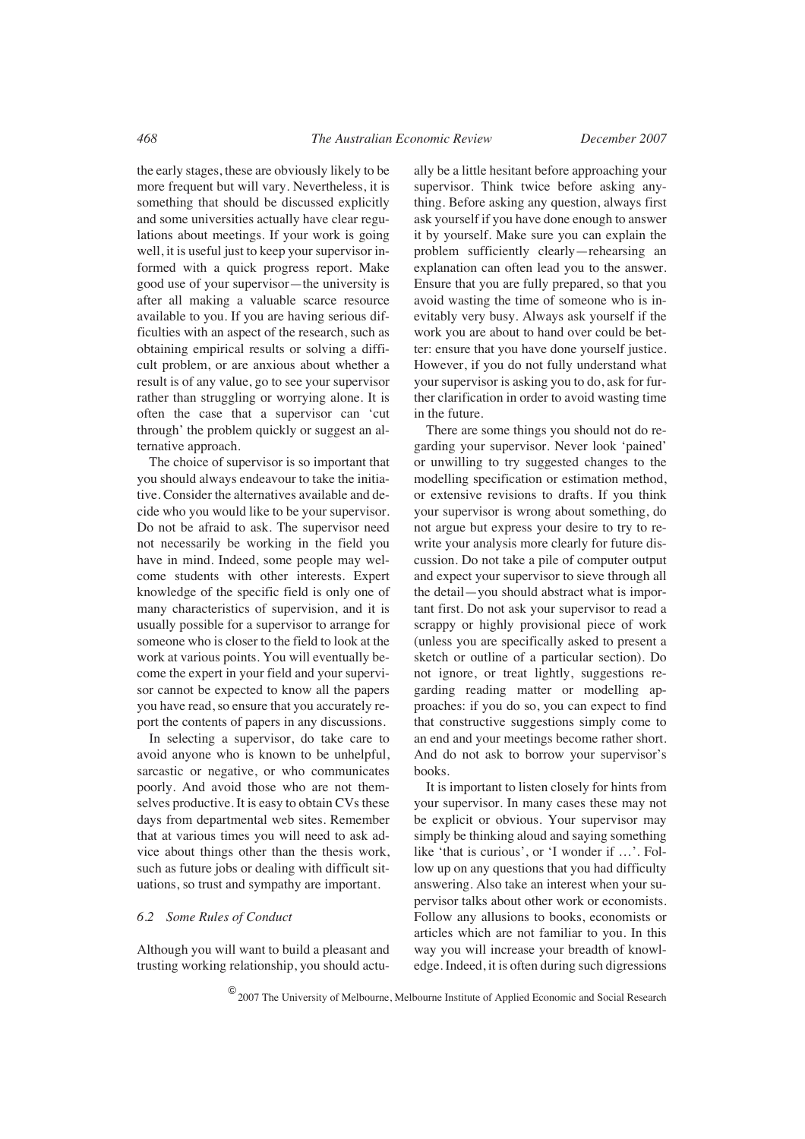the early stages, these are obviously likely to be more frequent but will vary. Nevertheless, it is something that should be discussed explicitly and some universities actually have clear regulations about meetings. If your work is going well, it is useful just to keep your supervisor informed with a quick progress report. Make good use of your supervisor—the university is after all making a valuable scarce resource available to you. If you are having serious difficulties with an aspect of the research, such as obtaining empirical results or solving a difficult problem, or are anxious about whether a result is of any value, go to see your supervisor rather than struggling or worrying alone. It is often the case that a supervisor can 'cut through' the problem quickly or suggest an alternative approach.

The choice of supervisor is so important that you should always endeavour to take the initiative. Consider the alternatives available and decide who you would like to be your supervisor. Do not be afraid to ask. The supervisor need not necessarily be working in the field you have in mind. Indeed, some people may welcome students with other interests. Expert knowledge of the specific field is only one of many characteristics of supervision, and it is usually possible for a supervisor to arrange for someone who is closer to the field to look at the work at various points. You will eventually become the expert in your field and your supervisor cannot be expected to know all the papers you have read, so ensure that you accurately report the contents of papers in any discussions.

In selecting a supervisor, do take care to avoid anyone who is known to be unhelpful, sarcastic or negative, or who communicates poorly. And avoid those who are not themselves productive. It is easy to obtain CVs these days from departmental web sites. Remember that at various times you will need to ask advice about things other than the thesis work, such as future jobs or dealing with difficult situations, so trust and sympathy are important.

#### *6.2 Some Rules of Conduct*

Although you will want to build a pleasant and trusting working relationship, you should actually be a little hesitant before approaching your supervisor. Think twice before asking anything. Before asking any question, always first ask yourself if you have done enough to answer it by yourself. Make sure you can explain the problem sufficiently clearly—rehearsing an explanation can often lead you to the answer. Ensure that you are fully prepared, so that you avoid wasting the time of someone who is inevitably very busy. Always ask yourself if the work you are about to hand over could be better: ensure that you have done yourself justice. However, if you do not fully understand what your supervisor is asking you to do, ask for further clarification in order to avoid wasting time in the future.

There are some things you should not do regarding your supervisor. Never look 'pained' or unwilling to try suggested changes to the modelling specification or estimation method, or extensive revisions to drafts. If you think your supervisor is wrong about something, do not argue but express your desire to try to rewrite your analysis more clearly for future discussion. Do not take a pile of computer output and expect your supervisor to sieve through all the detail—you should abstract what is important first. Do not ask your supervisor to read a scrappy or highly provisional piece of work (unless you are specifically asked to present a sketch or outline of a particular section). Do not ignore, or treat lightly, suggestions regarding reading matter or modelling approaches: if you do so, you can expect to find that constructive suggestions simply come to an end and your meetings become rather short. And do not ask to borrow your supervisor's books.

It is important to listen closely for hints from your supervisor. In many cases these may not be explicit or obvious. Your supervisor may simply be thinking aloud and saying something like 'that is curious', or 'I wonder if …'. Follow up on any questions that you had difficulty answering. Also take an interest when your supervisor talks about other work or economists. Follow any allusions to books, economists or articles which are not familiar to you. In this way you will increase your breadth of knowledge. Indeed, it is often during such digressions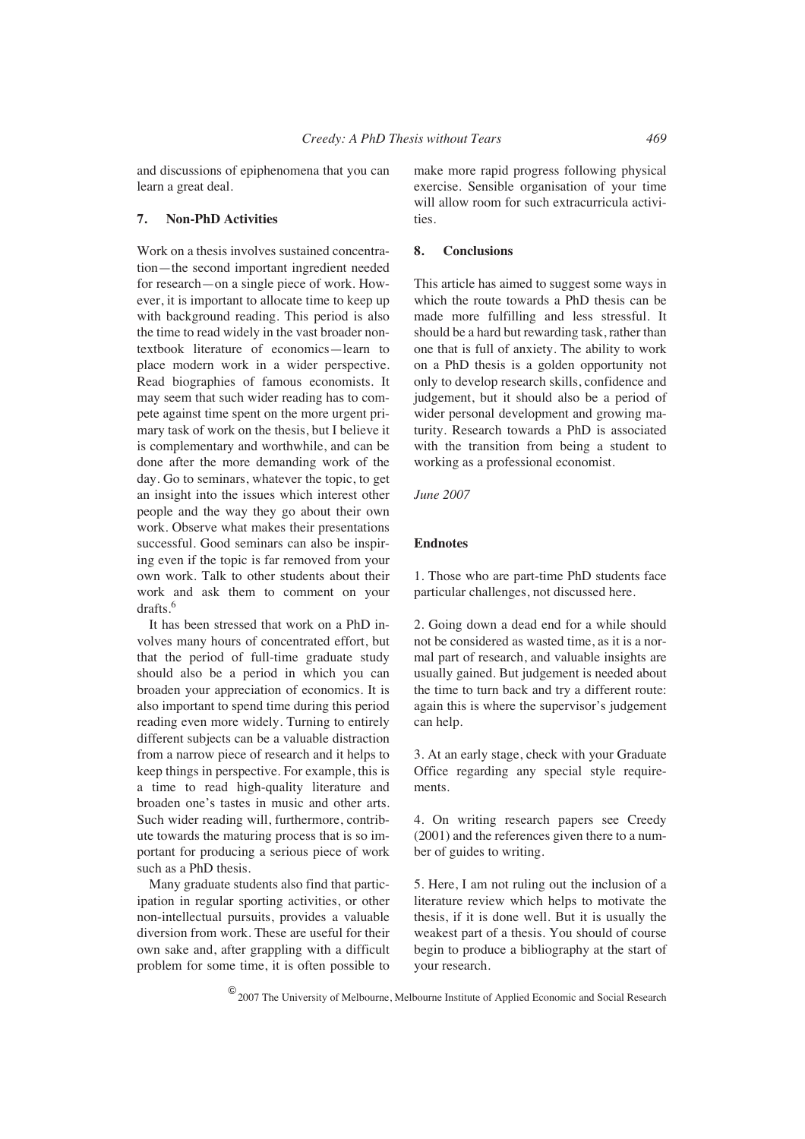and discussions of epiphenomena that you can learn a great deal.

# **7. Non-PhD Activities**

Work on a thesis involves sustained concentration—the second important ingredient needed for research—on a single piece of work. However, it is important to allocate time to keep up with background reading. This period is also the time to read widely in the vast broader nontextbook literature of economics—learn to place modern work in a wider perspective. Read biographies of famous economists. It may seem that such wider reading has to compete against time spent on the more urgent primary task of work on the thesis, but I believe it is complementary and worthwhile, and can be done after the more demanding work of the day. Go to seminars, whatever the topic, to get an insight into the issues which interest other people and the way they go about their own work. Observe what makes their presentations successful. Good seminars can also be inspiring even if the topic is far removed from your own work. Talk to other students about their work and ask them to comment on your drafts.<sup>6</sup>

It has been stressed that work on a PhD involves many hours of concentrated effort, but that the period of full-time graduate study should also be a period in which you can broaden your appreciation of economics. It is also important to spend time during this period reading even more widely. Turning to entirely different subjects can be a valuable distraction from a narrow piece of research and it helps to keep things in perspective. For example, this is a time to read high-quality literature and broaden one's tastes in music and other arts. Such wider reading will, furthermore, contribute towards the maturing process that is so important for producing a serious piece of work such as a PhD thesis.

Many graduate students also find that participation in regular sporting activities, or other non-intellectual pursuits, provides a valuable diversion from work. These are useful for their own sake and, after grappling with a difficult problem for some time, it is often possible to

make more rapid progress following physical exercise. Sensible organisation of your time will allow room for such extracurricula activities.

## **8. Conclusions**

This article has aimed to suggest some ways in which the route towards a PhD thesis can be made more fulfilling and less stressful. It should be a hard but rewarding task, rather than one that is full of anxiety. The ability to work on a PhD thesis is a golden opportunity not only to develop research skills, confidence and judgement, but it should also be a period of wider personal development and growing maturity. Research towards a PhD is associated with the transition from being a student to working as a professional economist.

*June 2007*

## **Endnotes**

1. Those who are part-time PhD students face particular challenges, not discussed here.

2. Going down a dead end for a while should not be considered as wasted time, as it is a normal part of research, and valuable insights are usually gained. But judgement is needed about the time to turn back and try a different route: again this is where the supervisor's judgement can help.

3. At an early stage, check with your Graduate Office regarding any special style requirements.

4. On writing research papers see Creedy (2001) and the references given there to a number of guides to writing.

5. Here, I am not ruling out the inclusion of a literature review which helps to motivate the thesis, if it is done well. But it is usually the weakest part of a thesis. You should of course begin to produce a bibliography at the start of your research.